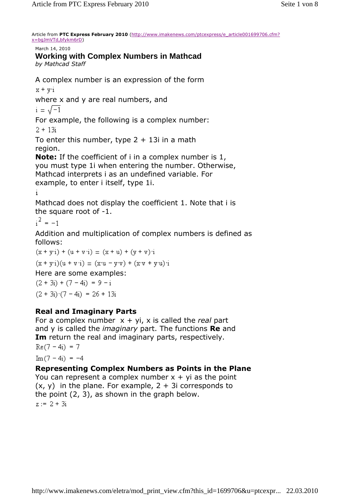Article from **PTC Express February 2010** (http://www.imakenews.com/ptcexpress/e\_article001699706.cfm? x=bgJmVTd,bfykm6rD)

March 14, 2010

## **Working with Complex Numbers in Mathcad**

*by Mathcad Staff* 

A complex number is an expression of the form

 $x + y$ <sup>i</sup>

where x and y are real numbers, and

 $i = \sqrt{-1}$ 

For example, the following is a complex number:

 $2 + 13i$ 

To enter this number, type  $2 + 13i$  in a math region.

**Note:** If the coefficient of i in a complex number is 1, you must type 1i when entering the number. Otherwise, Mathcad interprets i as an undefined variable. For example, to enter i itself, type 1i.

Mathcad does not display the coefficient 1. Note that i is the square root of -1.

 $i^2 = -1$ 

Addition and multiplication of complex numbers is defined as follows:

 $(x + y_1) + (u + v_1) = (x + u) + (y + v)_1$  $(x + y_1)(u + v_1) = (x_1u - y_1v) + (x_1v + y_1u)u_1$ Here are some examples:  $(2 + 3i) + (7 - 4i) = 9 - i$  $(2 + 3i)$   $(7 - 4i) = 26 + 13i$ 

## **Real and Imaginary Parts**

For a complex number x + yi, x is called the *real* part and y is called the *imaginary* part. The functions **Re** and **Im** return the real and imaginary parts, respectively.  $Re(7-4i) = 7$ 

 $\text{Im}(7-4i) = -4$ 

## **Representing Complex Numbers as Points in the Plane**

You can represent a complex number  $x + yi$  as the point  $(x, y)$  in the plane. For example,  $2 + 3i$  corresponds to the point (2, 3), as shown in the graph below.  $z := 2 + 3i$ 

http://www.imakenews.com/eletra/mod\_print\_view.cfm?this\_id=1699706&u=ptcexpr... 22.03.2010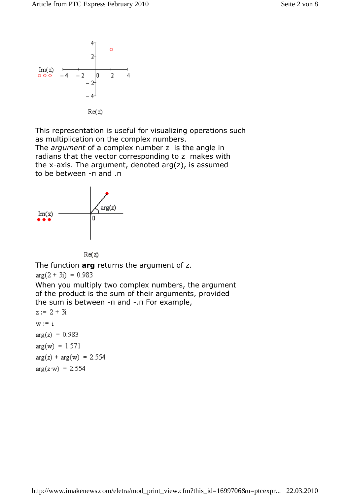

This representation is useful for visualizing operations such as multiplication on the complex numbers.

The *argument* of a complex number z is the angle in radians that the vector corresponding to z makes with the x-axis. The argument, denoted  $arg(z)$ , is assumed to be between -π and .π



 $Re(z)$ 

The function **arg** returns the argument of z.

 $arg(2 + 3i) = 0.983$ 

When you multiply two complex numbers, the argument of the product is the sum of their arguments, provided the sum is between -π and -.π For example,

 $z := 2 + 3i$  $w := i$  $arg(z) = 0.983$  $arg(w) = 1.571$  $arg(z) + arg(w) = 2.554$  $arg(z-w) = 2.554$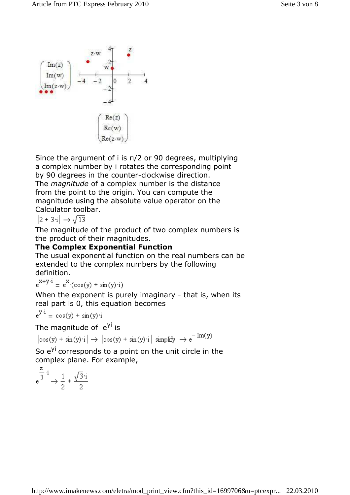

Since the argument of i is π/2 or 90 degrees, multiplying a complex number by i rotates the corresponding point by 90 degrees in the counter-clockwise direction. The *magnitude* of a complex number is the distance from the point to the origin. You can compute the magnitude using the absolute value operator on the Calculator toolbar.

 $|2 + 3i| \rightarrow \sqrt{13}$ 

The magnitude of the product of two complex numbers is the product of their magnitudes.

### **The Complex Exponential Function**

The usual exponential function on the real numbers can be extended to the complex numbers by the following definition.

 $e^{X+y \cdot i} = e^{X}(\cos(y) + \sin(y) \cdot i)$ 

When the exponent is purely imaginary - that is, when its real part is 0, this equation becomes

$$
e^{y \cdot i} = \cos(y) + \sin(y) \cdot i
$$

The magnitude of e<sup>yi</sup> is

 $\big| \cos(y) + \sin(y) \cdot i \big| \rightarrow \big| \cos(y) + \sin(y) \cdot i \big| \, \text{ simplify } \rightarrow e^{-\operatorname{Im}(y)}$ 

So  $e^{yi}$  corresponds to a point on the unit circle in the complex plane. For example,

$$
e^{\frac{\pi}{3}\cdot i} \to \frac{1}{2} + \frac{\sqrt{3}\cdot i}{2}
$$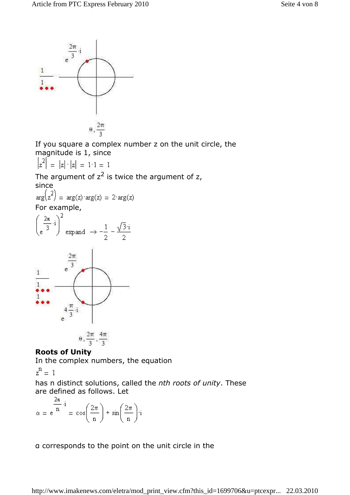

If you square a complex number z on the unit circle, the magnitude is 1, since

$$
|z^2| = |z| \cdot |z| = 1 \cdot 1 = 1
$$

The argument of  $z^2$  is twice the argument of z,

since<br>  $arg(z^2) = arg(z) \cdot arg(z) = 2 \cdot arg(z)$ For example,





#### **Roots of Unity**

In the complex numbers, the equation

$$
z^n = \ 1
$$

has n distinct solutions, called the *nth roots of unity*. These are defined as follows. Let

$$
\alpha = e^{\frac{2\pi}{n} \cdot i} = \cos\left(\frac{2\pi}{n}\right) + \sin\left(\frac{2\pi}{n}\right) \cdot i
$$

α corresponds to the point on the unit circle in the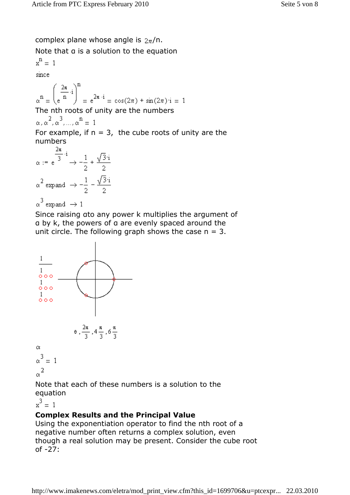complex plane whose angle is  $2\pi/n$ .

Note that α is a solution to the equation

$$
x^{n} = 1
$$
  
since  

$$
\alpha^{n} = \left(\frac{2\pi}{n} \cdot i\right)^{n} = e^{2\pi \cdot i} = \cos(2\pi) + \sin(2\pi) \cdot i = 1
$$
  
The nth roots of unity are the numbers

$$
\alpha, \alpha^2, \alpha^3, \ldots, \alpha^n = 1
$$

For example, if  $n = 3$ , the cube roots of unity are the numbers  $2 -$ 

$$
\alpha := e^{\frac{2\pi}{3} \cdot i} \to -\frac{1}{2} + \frac{\sqrt{3} \cdot i}{2}
$$

$$
\alpha^2 \text{ expand } \to -\frac{1}{2} - \frac{\sqrt{3} \cdot i}{2}
$$

$$
\alpha^3 \text{ expand } \to 1
$$

Since raising αto any power k multiplies the argument of α by k, the powers of α are evenly spaced around the unit circle. The following graph shows the case  $n = 3$ .



Note that each of these numbers is a solution to the equation

 $x^3 = 1$ 

# **Complex Results and the Principal Value**

Using the exponentiation operator to find the nth root of a negative number often returns a complex solution, even though a real solution may be present. Consider the cube root of -27: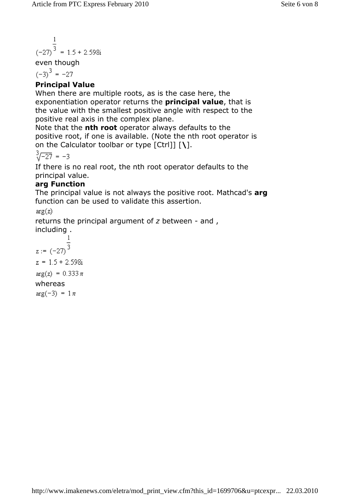$$
\frac{1}{(27)^3} = 1.5 + 2.598i
$$

even though

 $(-3)^3 = -27$ 

# **Principal Value**

When there are multiple roots, as is the case here, the exponentiation operator returns the **principal value**, that is the value with the smallest positive angle with respect to the positive real axis in the complex plane.

Note that the **nth root** operator always defaults to the positive root, if one is available. (Note the nth root operator is on the Calculator toolbar or type [Ctrl]] [**\**].

$$
\sqrt[3]{-27} = -3
$$

If there is no real root, the nth root operator defaults to the principal value.

## **arg Function**

The principal value is not always the positive root. Mathcad's **arg** function can be used to validate this assertion.

 $arg(z)$ 

returns the principal argument of *z* between - and , including .

$$
\frac{1}{z := (-27)^{\frac{1}{3}}}
$$
  
z = 1.5 + 2.598i  
arg(z) = 0.333  $\pi$   
whereas  
arg(-3) = 1  $\pi$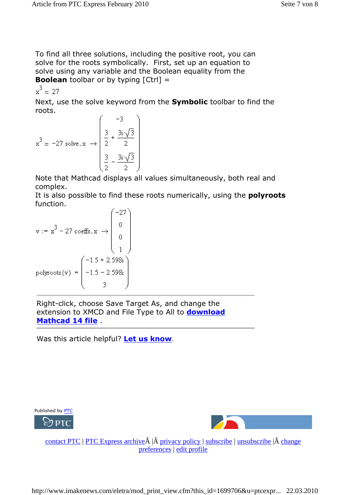To find all three solutions, including the positive root, you can solve for the roots symbolically. First, set up an equation to solve using any variable and the Boolean equality from the **Boolean** toolbar or by typing  $[Ctrl] =$ 

 $x^3 = 27$ 

Next, use the solve keyword from the **Symbolic** toolbar to find the roots.  $\sqrt{2}$ 

$$
x^{3} = -27 \text{ solve}, x \rightarrow \begin{pmatrix} -3 \\ \frac{3}{2} + \frac{3i\sqrt{3}}{2} \\ \frac{3}{2} - \frac{3i\sqrt{3}}{2} \end{pmatrix}
$$

Note that Mathcad displays all values simultaneously, both real and complex.

It is also possible to find these roots numerically, using the **polyroots** function.  $\mathcal{L}$  $\overline{\mathbf{r}}$ 

$$
\mathbf{v} := \mathbf{x}^{3} - 27 \operatorname{coeffs}, \mathbf{x} \rightarrow \begin{bmatrix} -27 \\ 0 \\ 0 \\ 1 \end{bmatrix}
$$
  
polyroots(v) = 
$$
\begin{pmatrix} -1.5 + 2.598i \\ -1.5 - 2.598i \\ 3 \end{pmatrix}
$$

Right-click, choose Save Target As, and change the extension to XMCD and File Type to All to **download Mathcad 14 file** .

Was this article helpful? **Let us know**.





contact PTC | PTC Express archive $\hat{A}$  | $\hat{A}$  privacy policy | subscribe | unsubscribe | $\hat{A}$  change preferences | edit profile